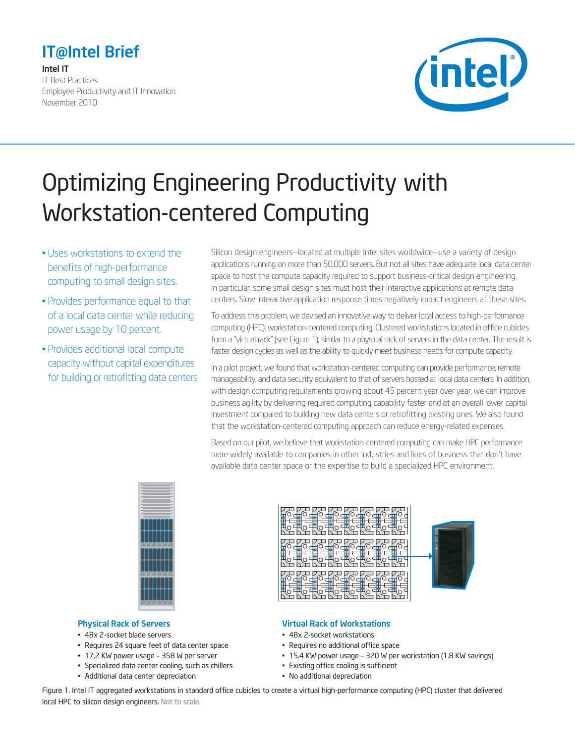# IT@Intel Brief

#### Intel IT

IT Best Practices Employee Productivity and IT Innovation November 2010



# Optimizing Engineering Productivity with Workstation-centered Computing

- Uses workstations to extend the benefits of high-performance computing to small design sites.
- Provides performance equal to that of a local data center while reducing power usage by 10 percent.
- Provides additional local compute capacity without capital expenditures for building or retrofitting data centers

Silicon design engineers—located at multiple Intel sites worldwide—use a variety of design applications running on more than 50,000 servers. But not all sites have adequate local data center space to host the compute capacity required to support business-critical design engineering. In particular, some small design sites must host their interactive applications at remote data centers. Slow interactive application response times negatively impact engineers at these sites.

To address this problem, we devised an innovative way to deliver local access to high-performance computing (HPC): workstation-centered computing. Clustered workstations located in office cubicles form a "virtual rack" (see Figure 1), similar to a physical rack of servers in the data center. The result is faster design cycles as well as the ability to quickly meet business needs for compute capacity.

In a pilot project, we found that workstation-centered computing can provide performance, remote manageability, and data security equivalent to that of servers hosted at local data centers. In addition, with design computing requirements growing about 45 percent year over year, we can improve business agility by delivering required computing capability faster and at an overall lower capital investment compared to building new data centers or retrofitting existing ones. We also found that the workstation-centered computing approach can reduce energy-related expenses.

Based on our pilot, we believe that workstation-centered computing can make HPC performance more widely available to companies in other industries and lines of business that don't have available data center space or the expertise to build a specialized HPC environment.



#### Physical Rack of Servers

- 48x 2-socket blade servers
- Requires 24 square feet of data center space
- 17.2 KW power usage 358 W per server
- Specialized data center cooling, such as chillers
- Additional data center depreciation



#### Virtual Rack of Workstations

- 48x 2-socket workstations
- Requires no additional office space
- 15.4 KW power usage 320 W per workstation (1.8 KW savings)
- Existing office cooling is sufficient
- No additional depreciation

Figure 1. Intel IT aggregated workstations in standard office cubicles to create a virtual high-performance computing (HPC) cluster that delivered local HPC to silicon design engineers. Not to scale.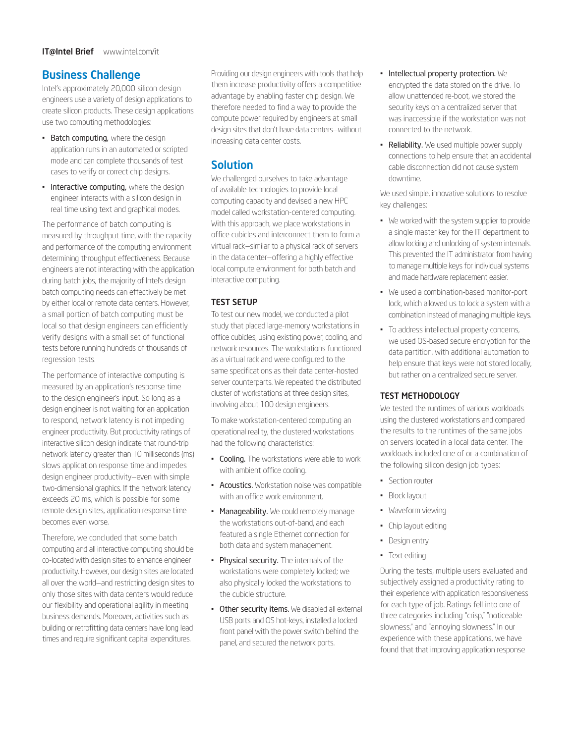## Business Challenge

Intel's approximately 20,000 silicon design engineers use a variety of design applications to create silicon products. These design applications use two computing methodologies:

- Batch computing, where the design application runs in an automated or scripted mode and can complete thousands of test cases to verify or correct chip designs.
- Interactive computing, where the design engineer interacts with a silicon design in real time using text and graphical modes.

The performance of batch computing is measured by throughput time, with the capacity and performance of the computing environment determining throughput effectiveness. Because engineers are not interacting with the application during batch jobs, the majority of Intel's design batch computing needs can effectively be met by either local or remote data centers. However, a small portion of batch computing must be local so that design engineers can efficiently verify designs with a small set of functional tests before running hundreds of thousands of regression tests.

The performance of interactive computing is measured by an application's response time to the design engineer's input. So long as a design engineer is not waiting for an application to respond, network latency is not impeding engineer productivity. But productivity ratings of interactive silicon design indicate that round-trip network latency greater than 10 milliseconds (ms) slows application response time and impedes design engineer productivity—even with simple two-dimensional graphics. If the network latency exceeds 20 ms, which is possible for some remote design sites, application response time becomes even worse.

Therefore, we concluded that some batch computing and all interactive computing should be co-located with design sites to enhance engineer productivity. However, our design sites are located all over the world—and restricting design sites to only those sites with data centers would reduce our flexibility and operational agility in meeting business demands. Moreover, activities such as building or retrofitting data centers have long lead times and require significant capital expenditures.

Providing our design engineers with tools that help them increase productivity offers a competitive advantage by enabling faster chip design. We therefore needed to find a way to provide the compute power required by engineers at small design sites that don't have data centers—without increasing data center costs.

# Solution

We challenged ourselves to take advantage of available technologies to provide local computing capacity and devised a new HPC model called workstation-centered computing. With this approach, we place workstations in office cubicles and interconnect them to form a virtual rack—similar to a physical rack of servers in the data center—offering a highly effective local compute environment for both batch and interactive computing.

#### TEST SETUP

To test our new model, we conducted a pilot study that placed large-memory workstations in office cubicles, using existing power, cooling, and network resources. The workstations functioned as a virtual rack and were configured to the same specifications as their data center-hosted server counterparts. We repeated the distributed cluster of workstations at three design sites, involving about 100 design engineers.

To make workstation-centered computing an operational reality, the clustered workstations had the following characteristics:

- Cooling. The workstations were able to work with ambient office cooling.
- Acoustics. Workstation noise was compatible with an office work environment.
- Manageability. We could remotely manage the workstations out-of-band, and each featured a single Ethernet connection for both data and system management.
- • Physical security. The internals of the workstations were completely locked; we also physically locked the workstations to the cubicle structure.
- Other security items. We disabled all external USB ports and OS hot-keys, installed a locked front panel with the power switch behind the panel, and secured the network ports.
- Intellectual property protection. We encrypted the data stored on the drive. To allow unattended re-boot, we stored the security keys on a centralized server that was inaccessible if the workstation was not connected to the network.
- Reliability. We used multiple power supply connections to help ensure that an accidental cable disconnection did not cause system downtime.

We used simple, innovative solutions to resolve key challenges:

- We worked with the system supplier to provide a single master key for the IT department to allow locking and unlocking of system internals. This prevented the IT administrator from having to manage multiple keys for individual systems and made hardware replacement easier.
- We used a combination-based monitor-port lock, which allowed us to lock a system with a combination instead of managing multiple keys.
- • To address intellectual property concerns, we used OS-based secure encryption for the data partition, with additional automation to help ensure that keys were not stored locally, but rather on a centralized secure server.

#### TEST METHODOLOGY

We tested the runtimes of various workloads using the clustered workstations and compared the results to the runtimes of the same jobs on servers located in a local data center. The workloads included one of or a combination of the following silicon design job types:

- Section router
- • Block layout
- • Waveform viewing
- • Chip layout editing
- • Design entry
- • Text editing

During the tests, multiple users evaluated and subjectively assigned a productivity rating to their experience with application responsiveness for each type of job. Ratings fell into one of three categories including "crisp," "noticeable slowness," and "annoying slowness." In our experience with these applications, we have found that that improving application response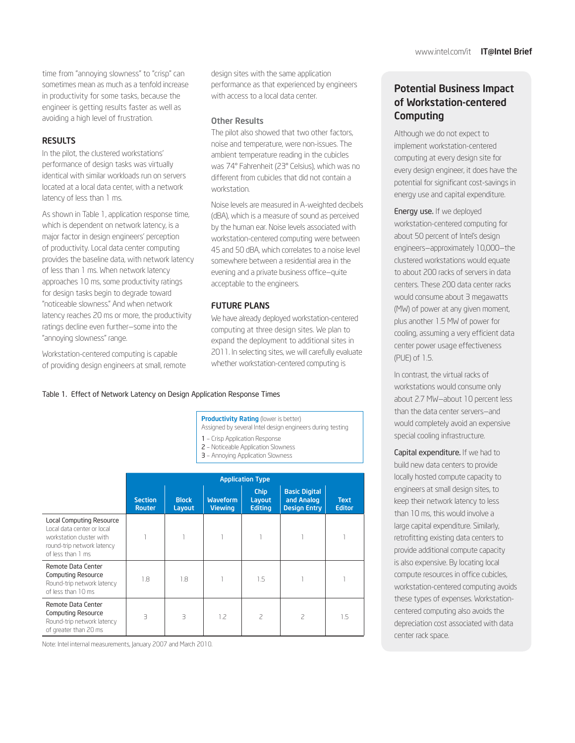time from "annoying slowness" to "crisp" can sometimes mean as much as a tenfold increase in productivity for some tasks, because the engineer is getting results faster as well as avoiding a high level of frustration.

#### **RESULTS**

In the pilot, the clustered workstations' performance of design tasks was virtually identical with similar workloads run on servers located at a local data center, with a network latency of less than 1 ms.

As shown in Table 1, application response time, which is dependent on network latency, is a major factor in design engineers' perception of productivity. Local data center computing provides the baseline data, with network latency of less than 1 ms. When network latency approaches 10 ms, some productivity ratings for design tasks begin to degrade toward "noticeable slowness." And when network latency reaches 20 ms or more, the productivity ratings decline even further—some into the "annoying slowness" range.

Workstation-centered computing is capable of providing design engineers at small, remote design sites with the same application performance as that experienced by engineers with access to a local data center.

#### Other Results

The pilot also showed that two other factors, noise and temperature, were non-issues. The ambient temperature reading in the cubicles was 74° Fahrenheit (23° Celsius), which was no different from cubicles that did not contain a workstation.

Noise levels are measured in A-weighted decibels (dBA), which is a measure of sound as perceived by the human ear. Noise levels associated with workstation-centered computing were between 45 and 50 dBA, which correlates to a noise level somewhere between a residential area in the evening and a private business office—quite acceptable to the engineers.

#### FUTURE PLANS

We have already deployed workstation-centered computing at three design sites. We plan to expand the deployment to additional sites in 2011. In selecting sites, we will carefully evaluate whether workstation-centered computing is

#### Table 1. Effect of Network Latency on Design Application Response Times

**Productivity Rating (lower is better)** Assigned by several Intel design engineers during testing

- 1 Crisp Application Response
- 2 Noticeable Application Slowness
- 3 Annoying Application Slowness

|                                                                                                                                       | <b>Application Type</b>         |                        |                                   |                                         |                                                           |                              |
|---------------------------------------------------------------------------------------------------------------------------------------|---------------------------------|------------------------|-----------------------------------|-----------------------------------------|-----------------------------------------------------------|------------------------------|
|                                                                                                                                       | <b>Section</b><br><b>Router</b> | <b>Block</b><br>Layout | <b>Waveform</b><br><b>Viewing</b> | <b>Chip</b><br>Layout<br><b>Editing</b> | <b>Basic Digital</b><br>and Analog<br><b>Design Entry</b> | <b>Text</b><br><b>Editor</b> |
| Local Computing Resource<br>Local data center or local<br>workstation cluster with<br>round-trip network latency<br>of less than 1 ms |                                 |                        |                                   |                                         |                                                           |                              |
| Remote Data Center<br><b>Computing Resource</b><br>Round-trip network latency<br>of less than 10 ms                                   | 1.8                             | 1.8                    |                                   | 1.5                                     |                                                           |                              |
| Remote Data Center<br><b>Computing Resource</b><br>Round-trip network latency<br>of greater than 20 ms                                | $\overline{\mathcal{L}}$        | З                      | 1.2                               | 2                                       | 2                                                         | 1.5                          |

Note: Intel internal measurements, January 2007 and March 2010.

Potential Business Impact of Workstation-centered **Computing** 

Although we do not expect to implement workstation-centered computing at every design site for every design engineer, it does have the potential for significant cost-savings in energy use and capital expenditure.

Energy use. If we deployed workstation-centered computing for about 50 percent of Intel's design engineers—approximately 10,000—the clustered workstations would equate to about 200 racks of servers in data centers. These 200 data center racks would consume about 3 megawatts (MW) of power at any given moment, plus another 1.5 MW of power for cooling, assuming a very efficient data center power usage effectiveness (PUE) of 1.5.

In contrast, the virtual racks of workstations would consume only about 2.7 MW—about 10 percent less than the data center servers—and would completely avoid an expensive special cooling infrastructure.

Capital expenditure. If we had to build new data centers to provide locally hosted compute capacity to engineers at small design sites, to keep their network latency to less than 10 ms, this would involve a large capital expenditure. Similarly, retrofitting existing data centers to provide additional compute capacity is also expensive. By locating local compute resources in office cubicles, workstation-centered computing avoids these types of expenses. Workstationcentered computing also avoids the depreciation cost associated with data center rack space.